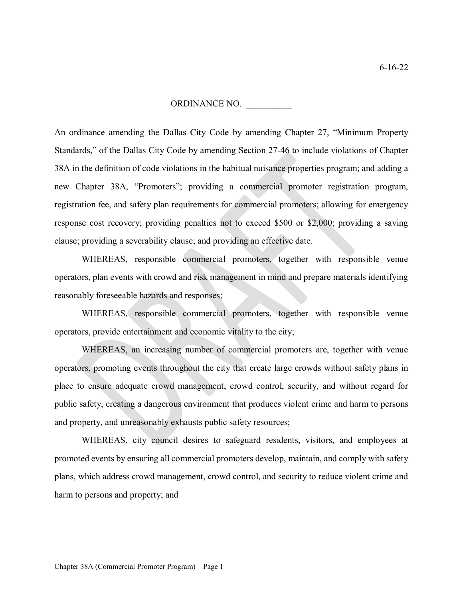## ORDINANCE NO. \_\_\_\_\_\_\_\_\_\_

An ordinance amending the Dallas City Code by amending Chapter 27, "Minimum Property Standards," of the Dallas City Code by amending Section 27-46 to include violations of Chapter 38A in the definition of code violations in the habitual nuisance properties program; and adding a new Chapter 38A, "Promoters"; providing a commercial promoter registration program, registration fee, and safety plan requirements for commercial promoters; allowing for emergency response cost recovery; providing penalties not to exceed \$500 or \$2,000; providing a saving clause; providing a severability clause; and providing an effective date.

WHEREAS, responsible commercial promoters, together with responsible venue operators, plan events with crowd and risk management in mind and prepare materials identifying reasonably foreseeable hazards and responses;

WHEREAS, responsible commercial promoters, together with responsible venue operators, provide entertainment and economic vitality to the city;

WHEREAS, an increasing number of commercial promoters are, together with venue operators, promoting events throughout the city that create large crowds without safety plans in place to ensure adequate crowd management, crowd control, security, and without regard for public safety, creating a dangerous environment that produces violent crime and harm to persons and property, and unreasonably exhausts public safety resources;

WHEREAS, city council desires to safeguard residents, visitors, and employees at promoted events by ensuring all commercial promoters develop, maintain, and comply with safety plans, which address crowd management, crowd control, and security to reduce violent crime and harm to persons and property; and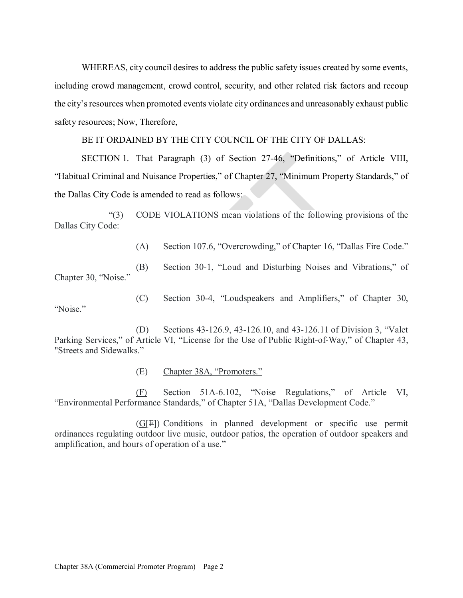WHEREAS, city council desires to address the public safety issues created by some events, including crowd management, crowd control, security, and other related risk factors and recoup the city's resources when promoted events violate city ordinances and unreasonably exhaust public safety resources; Now, Therefore,

BE IT ORDAINED BY THE CITY COUNCIL OF THE CITY OF DALLAS:

SECTION 1. That Paragraph (3) of Section 27-46, "Definitions," of Article VIII, "Habitual Criminal and Nuisance Properties," of Chapter 27, "Minimum Property Standards," of the Dallas City Code is amended to read as follows:

 "(3) CODE VIOLATIONS mean violations of the following provisions of the Dallas City Code:

(A) Section 107.6, "Overcrowding," of Chapter 16, "Dallas Fire Code."

 (B) Section 30-1, "Loud and Disturbing Noises and Vibrations," of Chapter 30, "Noise."

 (C) Section 30-4, "Loudspeakers and Amplifiers," of Chapter 30, "Noise."

 (D) Sections 43-126.9, 43-126.10, and 43-126.11 of Division 3, "Valet Parking Services," of Article VI, "License for the Use of Public Right-of-Way," of Chapter 43, "Streets and Sidewalks."

(E) Chapter 38A, "Promoters."

 (F) Section 51A-6.102, "Noise Regulations," of Article VI, "Environmental Performance Standards," of Chapter 51A, "Dallas Development Code."

 (G[F]) Conditions in planned development or specific use permit ordinances regulating outdoor live music, outdoor patios, the operation of outdoor speakers and amplification, and hours of operation of a use."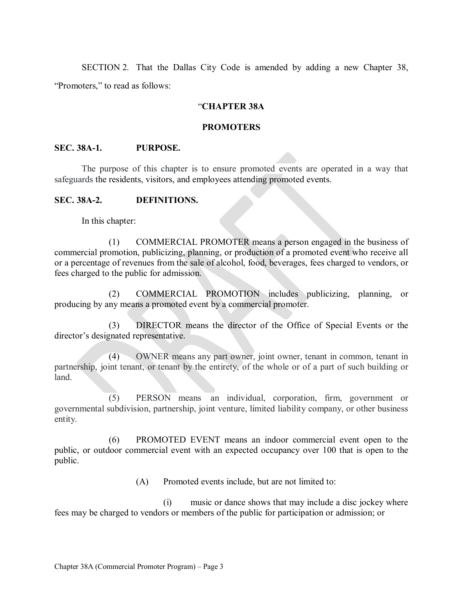SECTION 2. That the Dallas City Code is amended by adding a new Chapter 38, "Promoters," to read as follows:

### "**CHAPTER 38A**

### **PROMOTERS**

### **SEC. 38A-1. PURPOSE.**

The purpose of this chapter is to ensure promoted events are operated in a way that safeguards the residents, visitors, and employees attending promoted events.

#### **SEC. 38A-2. DEFINITIONS.**

In this chapter:

 (1) COMMERCIAL PROMOTER means a person engaged in the business of commercial promotion, publicizing, planning, or production of a promoted event who receive all or a percentage of revenues from the sale of alcohol, food, beverages, fees charged to vendors, or fees charged to the public for admission.

 (2) COMMERCIAL PROMOTION includes publicizing, planning, or producing by any means a promoted event by a commercial promoter.

 (3) DIRECTOR means the director of the Office of Special Events or the director's designated representative.

 (4) OWNER means any part owner, joint owner, tenant in common, tenant in partnership, joint tenant, or tenant by the entirety, of the whole or of a part of such building or land.

 (5) PERSON means an individual, corporation, firm, government or governmental subdivision, partnership, joint venture, limited liability company, or other business entity.

 (6) PROMOTED EVENT means an indoor commercial event open to the public, or outdoor commercial event with an expected occupancy over 100 that is open to the public.

(A) Promoted events include, but are not limited to:

 (i) music or dance shows that may include a disc jockey where fees may be charged to vendors or members of the public for participation or admission; or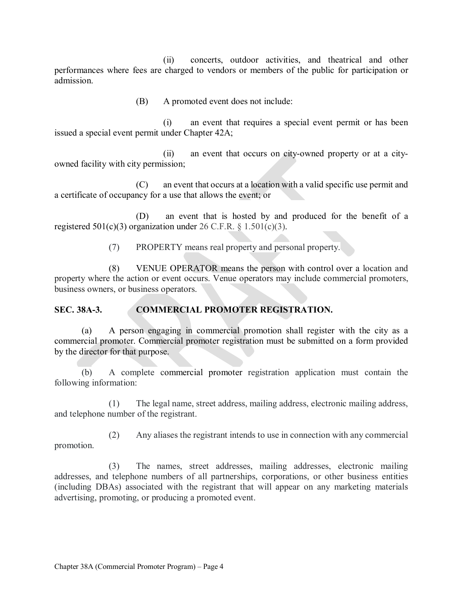(ii) concerts, outdoor activities, and theatrical and other performances where fees are charged to vendors or members of the public for participation or admission.

(B) A promoted event does not include:

 (i) an event that requires a special event permit or has been issued a special event permit under Chapter 42A;

 (ii) an event that occurs on city-owned property or at a cityowned facility with city permission;

 (C) an event that occurs at a location with a valid specific use permit and a certificate of occupancy for a use that allows the event; or

(D) an event that is hosted by and produced for the benefit of a registered 501(c)(3) organization under 26 C.F.R.  $\S$  1.501(c)(3).

(7) PROPERTY means real property and personal property.

 (8) VENUE OPERATOR means the person with control over a location and property where the action or event occurs. Venue operators may include commercial promoters, business owners, or business operators.

## **SEC. 38A-3. COMMERCIAL PROMOTER REGISTRATION.**

(a) A person engaging in commercial promotion shall register with the city as a commercial promoter. Commercial promoter registration must be submitted on a form provided by the director for that purpose.

(b) A complete commercial promoter registration application must contain the following information:

 (1) The legal name, street address, mailing address, electronic mailing address, and telephone number of the registrant.

 (2) Any aliases the registrant intends to use in connection with any commercial promotion.

 (3) The names, street addresses, mailing addresses, electronic mailing addresses, and telephone numbers of all partnerships, corporations, or other business entities (including DBAs) associated with the registrant that will appear on any marketing materials advertising, promoting, or producing a promoted event.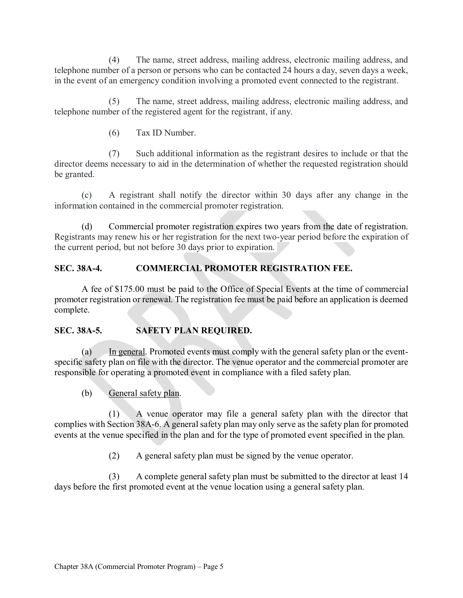(4) The name, street address, mailing address, electronic mailing address, and telephone number of a person or persons who can be contacted 24 hours a day, seven days a week, in the event of an emergency condition involving a promoted event connected to the registrant.

 (5) The name, street address, mailing address, electronic mailing address, and telephone number of the registered agent for the registrant, if any.

(6) Tax ID Number.

 (7) Such additional information as the registrant desires to include or that the director deems necessary to aid in the determination of whether the requested registration should be granted.

 (c) A registrant shall notify the director within 30 days after any change in the information contained in the commercial promoter registration.

 (d) Commercial promoter registration expires two years from the date of registration. Registrants may renew his or her registration for the next two-year period before the expiration of the current period, but not before 30 days prior to expiration.

# **SEC. 38A-4. COMMERCIAL PROMOTER REGISTRATION FEE.**

A fee of \$175.00 must be paid to the Office of Special Events at the time of commercial promoter registration or renewal. The registration fee must be paid before an application is deemed complete.

## **SEC. 38A-5. SAFETY PLAN REQUIRED.**

(a) In general. Promoted events must comply with the general safety plan or the eventspecific safety plan on file with the director. The venue operator and the commercial promoter are responsible for operating a promoted event in compliance with a filed safety plan.

(b) General safety plan.

 (1) A venue operator may file a general safety plan with the director that complies with Section 38A-6. A general safety plan may only serve as the safety plan for promoted events at the venue specified in the plan and for the type of promoted event specified in the plan.

(2) A general safety plan must be signed by the venue operator.

 (3) A complete general safety plan must be submitted to the director at least 14 days before the first promoted event at the venue location using a general safety plan.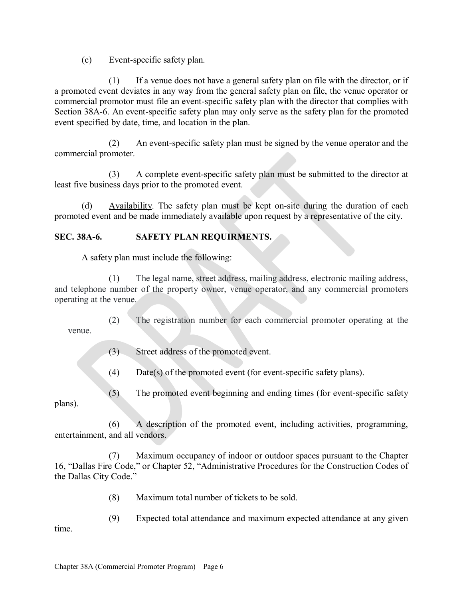(c) Event-specific safety plan.

 (1) If a venue does not have a general safety plan on file with the director, or if a promoted event deviates in any way from the general safety plan on file, the venue operator or commercial promotor must file an event-specific safety plan with the director that complies with Section 38A-6. An event-specific safety plan may only serve as the safety plan for the promoted event specified by date, time, and location in the plan.

 (2) An event-specific safety plan must be signed by the venue operator and the commercial promoter.

 (3) A complete event-specific safety plan must be submitted to the director at least five business days prior to the promoted event.

 (d) Availability. The safety plan must be kept on-site during the duration of each promoted event and be made immediately available upon request by a representative of the city.

# **SEC. 38A-6. SAFETY PLAN REQUIRMENTS.**

A safety plan must include the following:

 (1) The legal name, street address, mailing address, electronic mailing address, and telephone number of the property owner, venue operator, and any commercial promoters operating at the venue.

 (2) The registration number for each commercial promoter operating at the venue.

(3) Street address of the promoted event.

(4) Date(s) of the promoted event (for event-specific safety plans).

 (5) The promoted event beginning and ending times (for event-specific safety plans).

 (6) A description of the promoted event, including activities, programming, entertainment, and all vendors.

 (7) Maximum occupancy of indoor or outdoor spaces pursuant to the Chapter 16, "Dallas Fire Code," or Chapter 52, "Administrative Procedures for the Construction Codes of the Dallas City Code."

(8) Maximum total number of tickets to be sold.

(9) Expected total attendance and maximum expected attendance at any given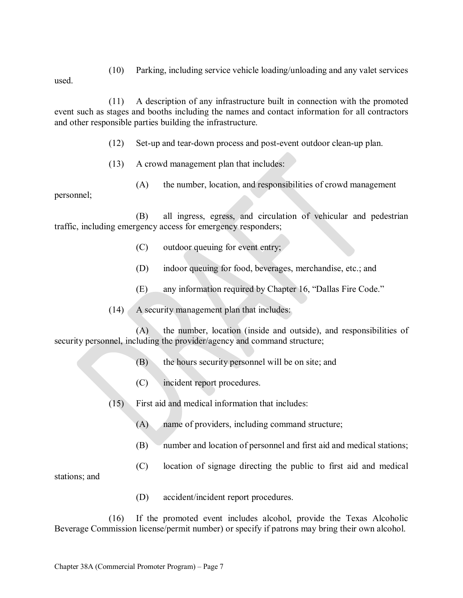(10) Parking, including service vehicle loading/unloading and any valet services

used.

(11) A description of any infrastructure built in connection with the promoted event such as stages and booths including the names and contact information for all contractors and other responsible parties building the infrastructure.

(12) Set-up and tear-down process and post-event outdoor clean-up plan.

- (13) A crowd management plan that includes:
	- (A) the number, location, and responsibilities of crowd management

personnel;

(B) all ingress, egress, and circulation of vehicular and pedestrian traffic, including emergency access for emergency responders;

- (C) outdoor queuing for event entry;
- (D) indoor queuing for food, beverages, merchandise, etc.; and
- (E) any information required by Chapter 16, "Dallas Fire Code."
- (14) A security management plan that includes:

(A) the number, location (inside and outside), and responsibilities of security personnel, including the provider/agency and command structure;

- (B) the hours security personnel will be on site; and
- (C) incident report procedures.

(15) First aid and medical information that includes:

- (A) name of providers, including command structure;
- (B) number and location of personnel and first aid and medical stations;
- (C) location of signage directing the public to first aid and medical

stations; and

(D) accident/incident report procedures.

(16) If the promoted event includes alcohol, provide the Texas Alcoholic Beverage Commission license/permit number) or specify if patrons may bring their own alcohol.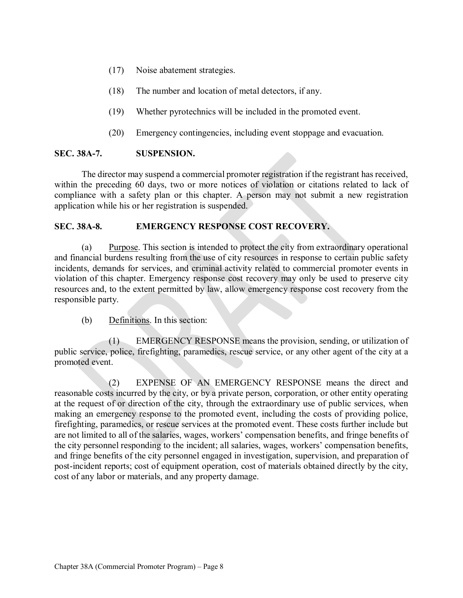- (17) Noise abatement strategies.
- (18) The number and location of metal detectors, if any.
- (19) Whether pyrotechnics will be included in the promoted event.
- (20) Emergency contingencies, including event stoppage and evacuation.

## **SEC. 38A-7. SUSPENSION.**

The director may suspend a commercial promoter registration if the registrant has received, within the preceding 60 days, two or more notices of violation or citations related to lack of compliance with a safety plan or this chapter. A person may not submit a new registration application while his or her registration is suspended.

## **SEC. 38A-8. EMERGENCY RESPONSE COST RECOVERY.**

(a) Purpose. This section is intended to protect the city from extraordinary operational and financial burdens resulting from the use of city resources in response to certain public safety incidents, demands for services, and criminal activity related to commercial promoter events in violation of this chapter. Emergency response cost recovery may only be used to preserve city resources and, to the extent permitted by law, allow emergency response cost recovery from the responsible party.

(b) Definitions. In this section:

 (1) EMERGENCY RESPONSE means the provision, sending, or utilization of public service, police, firefighting, paramedics, rescue service, or any other agent of the city at a promoted event.

 (2) EXPENSE OF AN EMERGENCY RESPONSE means the direct and reasonable costs incurred by the city, or by a private person, corporation, or other entity operating at the request of or direction of the city, through the extraordinary use of public services, when making an emergency response to the promoted event, including the costs of providing police, firefighting, paramedics, or rescue services at the promoted event. These costs further include but are not limited to all of the salaries, wages, workers' compensation benefits, and fringe benefits of the city personnel responding to the incident; all salaries, wages, workers' compensation benefits, and fringe benefits of the city personnel engaged in investigation, supervision, and preparation of post-incident reports; cost of equipment operation, cost of materials obtained directly by the city, cost of any labor or materials, and any property damage.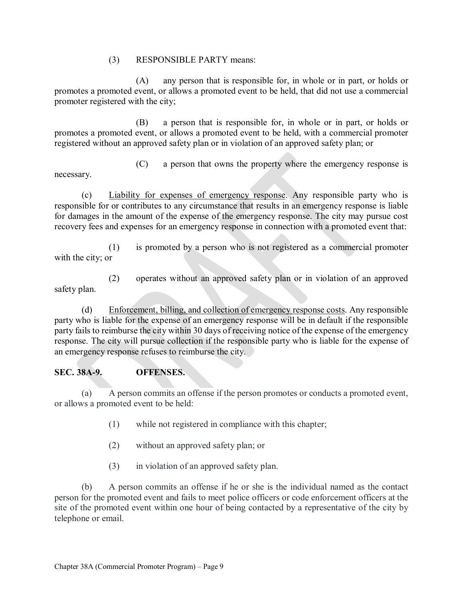## (3) RESPONSIBLE PARTY means:

 (A) any person that is responsible for, in whole or in part, or holds or promotes a promoted event, or allows a promoted event to be held, that did not use a commercial promoter registered with the city;

 (B) a person that is responsible for, in whole or in part, or holds or promotes a promoted event, or allows a promoted event to be held, with a commercial promoter registered without an approved safety plan or in violation of an approved safety plan; or

necessary.

(C) a person that owns the property where the emergency response is

(c) Liability for expenses of emergency response. Any responsible party who is responsible for or contributes to any circumstance that results in an emergency response is liable for damages in the amount of the expense of the emergency response. The city may pursue cost recovery fees and expenses for an emergency response in connection with a promoted event that:

 (1) is promoted by a person who is not registered as a commercial promoter with the city; or

 (2) operates without an approved safety plan or in violation of an approved safety plan.

 (d) Enforcement, billing, and collection of emergency response costs. Any responsible party who is liable for the expense of an emergency response will be in default if the responsible party fails to reimburse the city within 30 days of receiving notice of the expense of the emergency response. The city will pursue collection if the responsible party who is liable for the expense of an emergency response refuses to reimburse the city.

## **SEC. 38A-9. OFFENSES.**

(a) A person commits an offense if the person promotes or conducts a promoted event, or allows a promoted event to be held:

- (1) while not registered in compliance with this chapter;
- (2) without an approved safety plan; or
- (3) in violation of an approved safety plan.

(b) A person commits an offense if he or she is the individual named as the contact person for the promoted event and fails to meet police officers or code enforcement officers at the site of the promoted event within one hour of being contacted by a representative of the city by telephone or email.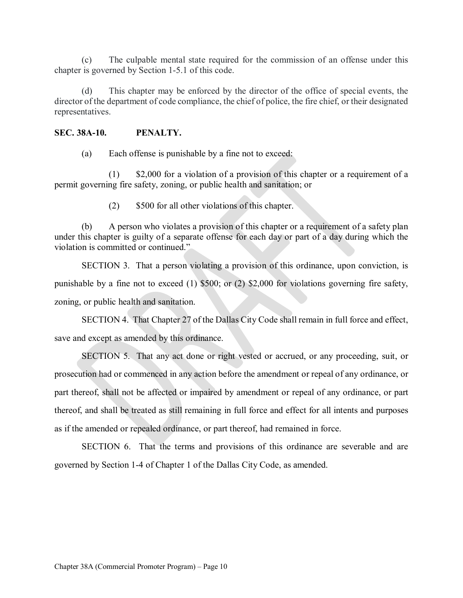(c) The culpable mental state required for the commission of an offense under this chapter is governed by Section 1-5.1 of this code.

 (d) This chapter may be enforced by the director of the office of special events, the director of the department of code compliance, the chief of police, the fire chief, or their designated representatives.

### **SEC. 38A-10. PENALTY.**

(a) Each offense is punishable by a fine not to exceed:

 (1) \$2,000 for a violation of a provision of this chapter or a requirement of a permit governing fire safety, zoning, or public health and sanitation; or

(2) \$500 for all other violations of this chapter.

 (b) A person who violates a provision of this chapter or a requirement of a safety plan under this chapter is guilty of a separate offense for each day or part of a day during which the violation is committed or continued."

SECTION 3. That a person violating a provision of this ordinance, upon conviction, is punishable by a fine not to exceed (1) \$500; or (2) \$2,000 for violations governing fire safety, zoning, or public health and sanitation.

SECTION 4. That Chapter 27 of the Dallas City Code shall remain in full force and effect, save and except as amended by this ordinance.

SECTION 5. That any act done or right vested or accrued, or any proceeding, suit, or prosecution had or commenced in any action before the amendment or repeal of any ordinance, or part thereof, shall not be affected or impaired by amendment or repeal of any ordinance, or part thereof, and shall be treated as still remaining in full force and effect for all intents and purposes as if the amended or repealed ordinance, or part thereof, had remained in force.

SECTION 6. That the terms and provisions of this ordinance are severable and are governed by Section 1-4 of Chapter 1 of the Dallas City Code, as amended.